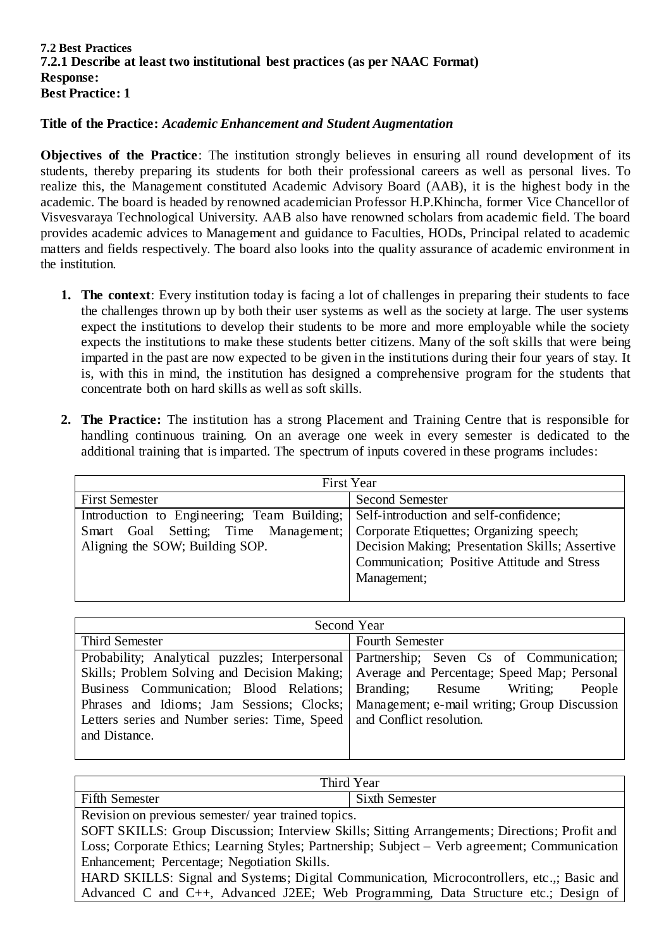#### **7.2 Best Practices 7.2.1 Describe at least two institutional best practices (as per NAAC Format) Response: Best Practice: 1**

#### **Title of the Practice:** *Academic Enhancement and Student Augmentation*

**Objectives of the Practice**: The institution strongly believes in ensuring all round development of its students, thereby preparing its students for both their professional careers as well as personal lives. To realize this, the Management constituted Academic Advisory Board (AAB), it is the highest body in the academic. The board is headed by renowned academician Professor H.P.Khincha, former Vice Chancellor of Visvesvaraya Technological University. AAB also have renowned scholars from academic field. The board provides academic advices to Management and guidance to Faculties, HODs, Principal related to academic matters and fields respectively. The board also looks into the quality assurance of academic environment in the institution.

- **1. The context**: Every institution today is facing a lot of challenges in preparing their students to face the challenges thrown up by both their user systems as well as the society at large. The user systems expect the institutions to develop their students to be more and more employable while the society expects the institutions to make these students better citizens. Many of the soft skills that were being imparted in the past are now expected to be given in the institutions during their four years of stay. It is, with this in mind, the institution has designed a comprehensive program for the students that concentrate both on hard skills as well as soft skills.
- **2. The Practice:** The institution has a strong Placement and Training Centre that is responsible for handling continuous training. On an average one week in every semester is dedicated to the additional training that is imparted. The spectrum of inputs covered in these programs includes:

| <b>First Year</b>                           |                                                 |
|---------------------------------------------|-------------------------------------------------|
| <b>First Semester</b>                       | Second Semester                                 |
| Introduction to Engineering; Team Building; | Self-introduction and self-confidence;          |
| Smart Goal Setting; Time Management;        | Corporate Etiquettes; Organizing speech;        |
| Aligning the SOW; Building SOP.             | Decision Making; Presentation Skills; Assertive |
|                                             | Communication; Positive Attitude and Stress     |
|                                             | Management;                                     |
|                                             |                                                 |

| Second Year                                                                              |                        |
|------------------------------------------------------------------------------------------|------------------------|
| <b>Third Semester</b>                                                                    | <b>Fourth Semester</b> |
| Probability; Analytical puzzles; Interpersonal Partnership; Seven Cs of Communication;   |                        |
| Skills; Problem Solving and Decision Making; Average and Percentage; Speed Map; Personal |                        |
| Business Communication; Blood Relations; Branding; Resume Writing;                       | People                 |
| Phrases and Idioms; Jam Sessions; Clocks; Management; e-mail writing; Group Discussion   |                        |
| Letters series and Number series: Time, Speed   and Conflict resolution.                 |                        |
| and Distance.                                                                            |                        |
|                                                                                          |                        |

| 'Year<br>Third $\lambda$                          |                       |
|---------------------------------------------------|-----------------------|
| <b>Fifth Semester</b>                             | <b>Sixth Semester</b> |
| Revision on previous semester/vear trained topics |                       |

Revision on previous semester/ year trained topics.

SOFT SKILLS: Group Discussion; Interview Skills; Sitting Arrangements; Directions; Profit and Loss; Corporate Ethics; Learning Styles; Partnership; Subject – Verb agreement; Communication Enhancement; Percentage; Negotiation Skills.

HARD SKILLS: Signal and Systems; Digital Communication, Microcontrollers, etc.,; Basic and Advanced C and C++, Advanced J2EE; Web Programming, Data Structure etc.; Design of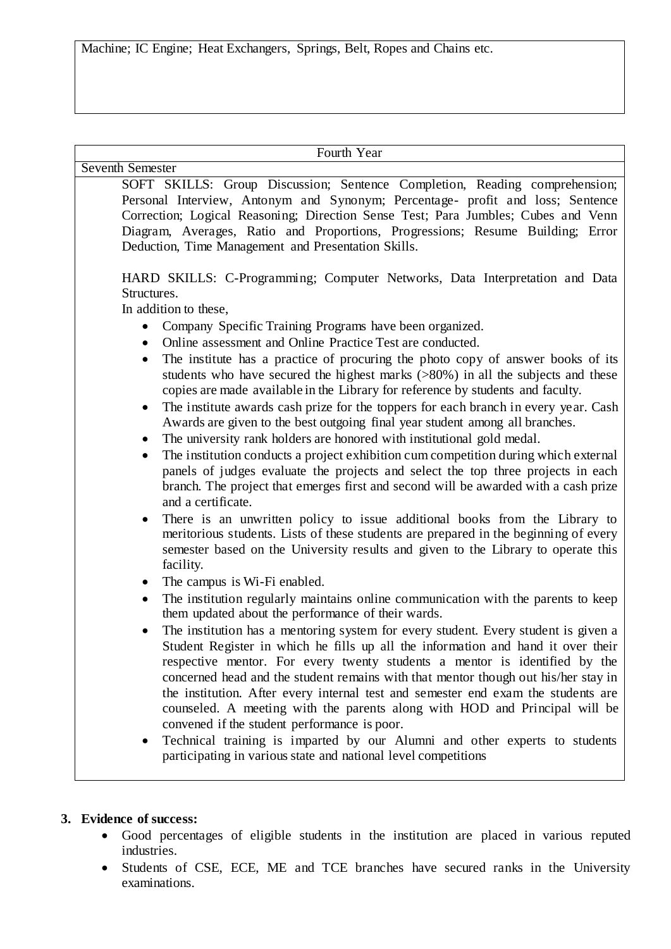Machine; IC Engine; Heat Exchangers, Springs, Belt, Ropes and Chains etc.

| Fourth Year                                                                                                                                                                                                                                                                                                                                                                                                                                                                                                                                                                                                                                                                                                                                                                                                                                                                                                                                                                                                                                                                                                                                                                                                                                                                                                                                                                                                                                                                                                                                                             |
|-------------------------------------------------------------------------------------------------------------------------------------------------------------------------------------------------------------------------------------------------------------------------------------------------------------------------------------------------------------------------------------------------------------------------------------------------------------------------------------------------------------------------------------------------------------------------------------------------------------------------------------------------------------------------------------------------------------------------------------------------------------------------------------------------------------------------------------------------------------------------------------------------------------------------------------------------------------------------------------------------------------------------------------------------------------------------------------------------------------------------------------------------------------------------------------------------------------------------------------------------------------------------------------------------------------------------------------------------------------------------------------------------------------------------------------------------------------------------------------------------------------------------------------------------------------------------|
| <b>Seventh Semester</b>                                                                                                                                                                                                                                                                                                                                                                                                                                                                                                                                                                                                                                                                                                                                                                                                                                                                                                                                                                                                                                                                                                                                                                                                                                                                                                                                                                                                                                                                                                                                                 |
| SOFT SKILLS: Group Discussion; Sentence Completion, Reading comprehension;<br>Personal Interview, Antonym and Synonym; Percentage- profit and loss; Sentence<br>Correction; Logical Reasoning; Direction Sense Test; Para Jumbles; Cubes and Venn<br>Diagram, Averages, Ratio and Proportions, Progressions; Resume Building; Error<br>Deduction, Time Management and Presentation Skills.                                                                                                                                                                                                                                                                                                                                                                                                                                                                                                                                                                                                                                                                                                                                                                                                                                                                                                                                                                                                                                                                                                                                                                              |
| HARD SKILLS: C-Programming; Computer Networks, Data Interpretation and Data<br>Structures.<br>In addition to these,<br>Company Specific Training Programs have been organized.<br>$\bullet$<br>Online assessment and Online Practice Test are conducted.<br>$\bullet$<br>The institute has a practice of procuring the photo copy of answer books of its<br>$\bullet$<br>students who have secured the highest marks $(>\!\!80\%)$ in all the subjects and these<br>copies are made available in the Library for reference by students and faculty.<br>The institute awards cash prize for the toppers for each branch in every year. Cash<br>$\bullet$<br>Awards are given to the best outgoing final year student among all branches.<br>The university rank holders are honored with institutional gold medal.<br>$\bullet$<br>The institution conducts a project exhibition cum competition during which external<br>$\bullet$<br>panels of judges evaluate the projects and select the top three projects in each<br>branch. The project that emerges first and second will be awarded with a cash prize<br>and a certificate.<br>There is an unwritten policy to issue additional books from the Library to<br>$\bullet$<br>meritorious students. Lists of these students are prepared in the beginning of every<br>semester based on the University results and given to the Library to operate this<br>facility.<br>The campus is Wi-Fi enabled.<br>$\bullet$<br>The institution regularly maintains online communication with the parents to keep<br>$\bullet$ |
| them updated about the performance of their wards.<br>The institution has a mentoring system for every student. Every student is given a<br>Student Register in which he fills up all the information and hand it over their<br>respective mentor. For every twenty students a mentor is identified by the<br>concerned head and the student remains with that mentor though out his/her stay in<br>the institution. After every internal test and semester end exam the students are<br>counseled. A meeting with the parents along with HOD and Principal will be<br>convened if the student performance is poor.<br>Technical training is imparted by our Alumni and other experts to students<br>participating in various state and national level competitions                                                                                                                                                                                                                                                                                                                                                                                                                                                                                                                                                                                                                                                                                                                                                                                                     |

## **3. Evidence of success:**

- Good percentages of eligible students in the institution are placed in various reputed industries.
- Students of CSE, ECE, ME and TCE branches have secured ranks in the University examinations.